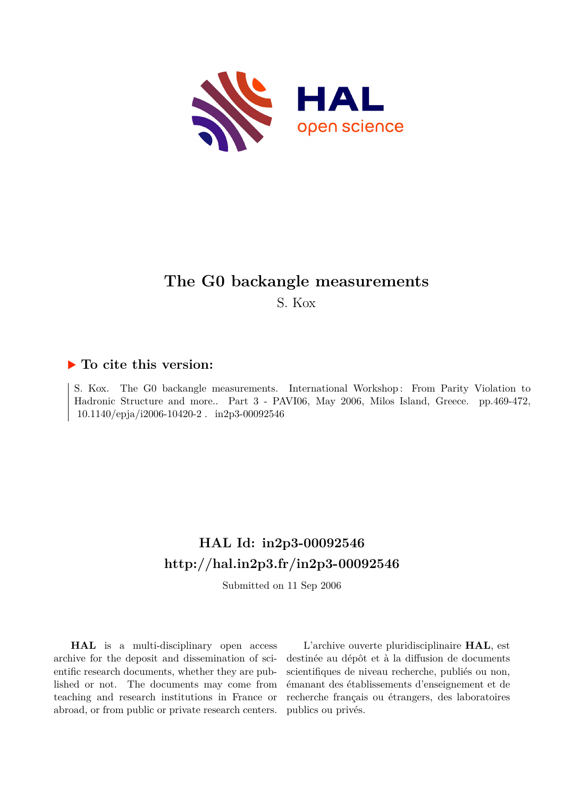

### **The G0 backangle measurements**

S. Kox

### **To cite this version:**

S. Kox. The G0 backangle measurements. International Workshop : From Parity Violation to Hadronic Structure and more.. Part 3 - PAVI06, May 2006, Milos Island, Greece. pp.469-472,  $10.1140/epja/i2006-10420-2$ .  $in2p3-00092546$ 

## **HAL Id: in2p3-00092546 <http://hal.in2p3.fr/in2p3-00092546>**

Submitted on 11 Sep 2006

**HAL** is a multi-disciplinary open access archive for the deposit and dissemination of scientific research documents, whether they are published or not. The documents may come from teaching and research institutions in France or abroad, or from public or private research centers.

L'archive ouverte pluridisciplinaire **HAL**, est destinée au dépôt et à la diffusion de documents scientifiques de niveau recherche, publiés ou non, émanant des établissements d'enseignement et de recherche français ou étrangers, des laboratoires publics ou privés.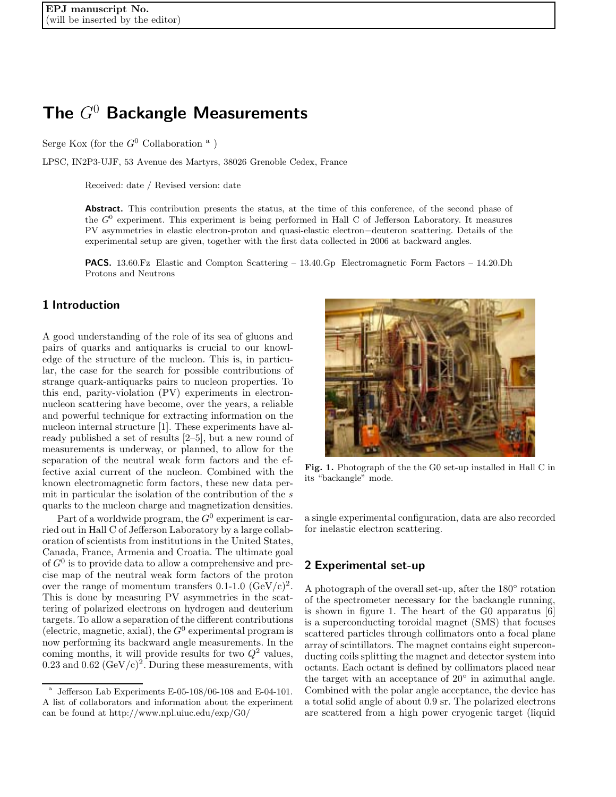# **The** *G*<sup>0</sup> **Backangle Measurements**

Serge Kox (for the  $G^0$  Collaboration <sup>a</sup>)

LPSC, IN2P3-UJF, 53 Avenue des Martyrs, 38026 Grenoble Cedex, France

Received: date / Revised version: date

Abstract. This contribution presents the status, at the time of this conference, of the second phase of the *G*<sup>0</sup> experiment. This experiment is being performed in Hall C of Jefferson Laboratory. It measures PV asymmetries in elastic electron-proton and quasi-elastic electron*−*deuteron scattering. Details of the experimental setup are given, together with the first data collected in 2006 at backward angles.

**PACS.** 13.60.Fz Elastic and Compton Scattering – 13.40.Gp Electromagnetic Form Factors – 14.20.Dh Protons and Neutrons

### **1 Introduction**

A good understanding of the role of its sea of gluons and pairs of quarks and antiquarks is crucial to our knowledge of the structure of the nucleon. This is, in particular, the case for the search for possible contributions of strange quark-antiquarks pairs to nucleon properties. To this end, parity-violation (PV) experiments in electronnucleon scattering have become, over the years, a reliable and powerful technique for extracting information on the nucleon internal structure [1]. These experiments have already published a set of results [2–5], but a new round of measurements is underway, or planned, to allow for the separation of the neutral weak form factors and the effective axial current of the nucleon. Combined with the known electromagnetic form factors, these new data permit in particular the isolation of the contribution of the s quarks to the nucleon charge and magnetization densities.

Part of a worldwide program, the  $G^0$  experiment is carried out in Hall C of Jefferson Laboratory by a large collaboration of scientists from institutions in the United States, Canada, France, Armenia and Croatia. The ultimate goal of  $G^0$  is to provide data to allow a comprehensive and precise map of the neutral weak form factors of the proton over the range of momentum transfers  $0.1{\text -}1.0 \text{ (GeV/c)}^2$ . This is done by measuring PV asymmetries in the scattering of polarized electrons on hydrogen and deuterium targets. To allow a separation of the different contributions (electric, magnetic, axial), the  $G^0$  experimental program is now performing its backward angle measurements. In the coming months, it will provide results for two  $Q^2$  values, 0.23 and 0.62  $(GeV/c)^2$ . During these measurements, with



**Fig. 1.** Photograph of the the G0 set-up installed in Hall C in its "backangle" mode.

a single experimental configuration, data are also recorded for inelastic electron scattering.

#### **2 Experimental set-up**

A photograph of the overall set-up, after the 180◦ rotation of the spectrometer necessary for the backangle running, is shown in figure 1. The heart of the G0 apparatus [6] is a superconducting toroidal magnet (SMS) that focuses scattered particles through collimators onto a focal plane array of scintillators. The magnet contains eight superconducting coils splitting the magnet and detector system into octants. Each octant is defined by collimators placed near the target with an acceptance of  $20°$  in azimuthal angle. Combined with the polar angle acceptance, the device has a total solid angle of about 0.9 sr. The polarized electrons are scattered from a high power cryogenic target (liquid

 $\overline{a}$  Jefferson Lab Experiments E-05-108/06-108 and E-04-101. A list of collaborators and information about the experiment can be found at http://www.npl.uiuc.edu/exp/G0/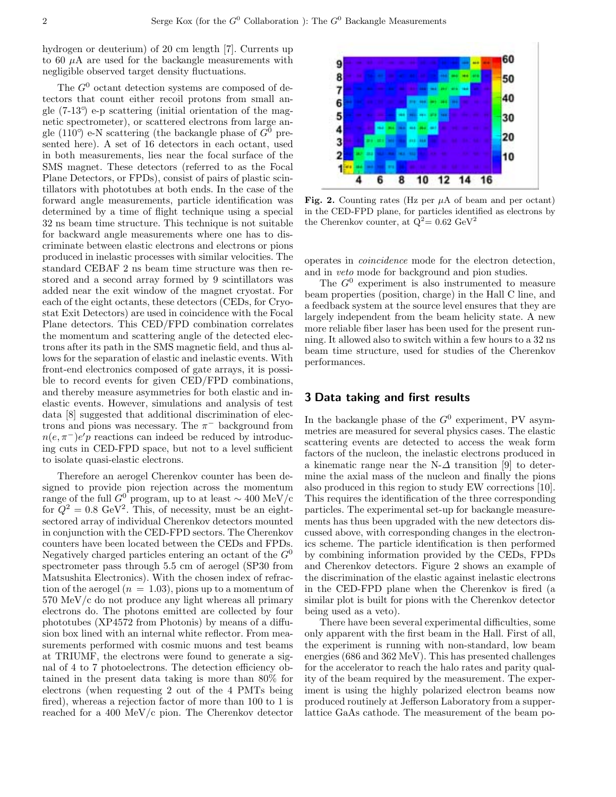hydrogen or deuterium) of 20 cm length [7]. Currents up to 60  $\mu$ A are used for the backangle measurements with negligible observed target density fluctuations.

The  $G^0$  octant detection systems are composed of detectors that count either recoil protons from small angle (7-13◦ ) e-p scattering (initial orientation of the magnetic spectrometer), or scattered electrons from large angle (110<sup>o</sup>) e-N scattering (the backangle phase of  $G^0$  presented here). A set of 16 detectors in each octant, used in both measurements, lies near the focal surface of the SMS magnet. These detectors (referred to as the Focal Plane Detectors, or FPDs), consist of pairs of plastic scintillators with phototubes at both ends. In the case of the forward angle measurements, particle identification was determined by a time of flight technique using a special 32 ns beam time structure. This technique is not suitable for backward angle measurements where one has to discriminate between elastic electrons and electrons or pions produced in inelastic processes with similar velocities. The standard CEBAF 2 ns beam time structure was then restored and a second array formed by 9 scintillators was added near the exit window of the magnet cryostat. For each of the eight octants, these detectors (CEDs, for Cryostat Exit Detectors) are used in coincidence with the Focal Plane detectors. This CED/FPD combination correlates the momentum and scattering angle of the detected electrons after its path in the SMS magnetic field, and thus allows for the separation of elastic and inelastic events. With front-end electronics composed of gate arrays, it is possible to record events for given CED/FPD combinations, and thereby measure asymmetries for both elastic and inelastic events. However, simulations and analysis of test data [8] suggested that additional discrimination of electrons and pions was necessary. The  $\pi^-$  background from  $n(e, \pi^-)e'p$  reactions can indeed be reduced by introducing cuts in CED-FPD space, but not to a level sufficient to isolate quasi-elastic electrons.

Therefore an aerogel Cherenkov counter has been designed to provide pion rejection across the momentum range of the full  $G^0$  program, up to at least ~ 400 MeV/c for  $Q^2 = 0.8 \text{ GeV}^2$ . This, of necessity, must be an eightsectored array of individual Cherenkov detectors mounted in conjunction with the CED-FPD sectors. The Cherenkov counters have been located between the CEDs and FPDs. Negatively charged particles entering an octant of the  $G^0$ spectrometer pass through 5.5 cm of aerogel (SP30 from Matsushita Electronics). With the chosen index of refraction of the aerogel  $(n = 1.03)$ , pions up to a momentum of 570 MeV/c do not produce any light whereas all primary electrons do. The photons emitted are collected by four phototubes (XP4572 from Photonis) by means of a diffusion box lined with an internal white reflector. From measurements performed with cosmic muons and test beams at TRIUMF, the electrons were found to generate a signal of 4 to 7 photoelectrons. The detection efficiency obtained in the present data taking is more than 80% for electrons (when requesting 2 out of the 4 PMTs being fired), whereas a rejection factor of more than 100 to 1 is reached for a 400 MeV/c pion. The Cherenkov detector



**Fig. 2.** Counting rates (Hz per  $\mu$ A of beam and per octant) in the CED-FPD plane, for particles identified as electrons by the Cherenkov counter, at  $Q^2 = 0.62$  GeV<sup>2</sup>

operates in *coincidence* mode for the electron detection, and in *veto* mode for background and pion studies.

The  $G^0$  experiment is also instrumented to measure beam properties (position, charge) in the Hall C line, and a feedback system at the source level ensures that they are largely independent from the beam helicity state. A new more reliable fiber laser has been used for the present running. It allowed also to switch within a few hours to a 32 ns beam time structure, used for studies of the Cherenkov performances.

#### **3 Data taking and first results**

In the backangle phase of the  $G^0$  experiment, PV asymmetries are measured for several physics cases. The elastic scattering events are detected to access the weak form factors of the nucleon, the inelastic electrons produced in a kinematic range near the N- $\Delta$  transition [9] to determine the axial mass of the nucleon and finally the pions also produced in this region to study EW corrections [10]. This requires the identification of the three corresponding particles. The experimental set-up for backangle measurements has thus been upgraded with the new detectors discussed above, with corresponding changes in the electronics scheme. The particle identification is then performed by combining information provided by the CEDs, FPDs and Cherenkov detectors. Figure 2 shows an example of the discrimination of the elastic against inelastic electrons in the CED-FPD plane when the Cherenkov is fired (a similar plot is built for pions with the Cherenkov detector being used as a veto).

There have been several experimental difficulties, some only apparent with the first beam in the Hall. First of all, the experiment is running with non-standard, low beam energies (686 and 362 MeV). This has presented challenges for the accelerator to reach the halo rates and parity quality of the beam required by the measurement. The experiment is using the highly polarized electron beams now produced routinely at Jefferson Laboratory from a supperlattice GaAs cathode. The measurement of the beam po-